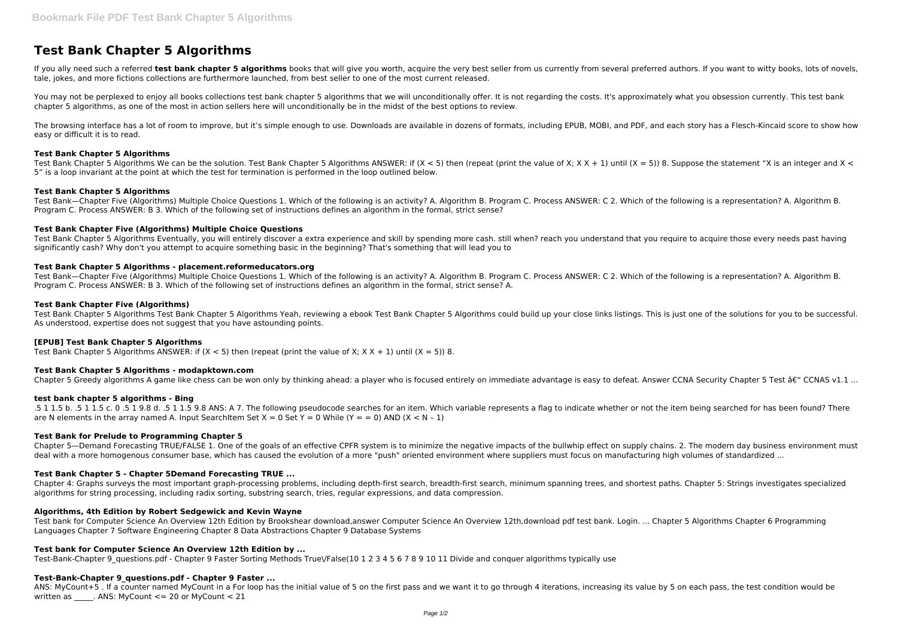# **Test Bank Chapter 5 Algorithms**

If you ally need such a referred test bank chapter 5 algorithms books that will give you worth, acquire the very best seller from us currently from several preferred authors. If you want to witty books, lots of novels, tale, jokes, and more fictions collections are furthermore launched, from best seller to one of the most current released.

You may not be perplexed to enjoy all books collections test bank chapter 5 algorithms that we will unconditionally offer. It is not regarding the costs. It's approximately what you obsession currently. This test bank chapter 5 algorithms, as one of the most in action sellers here will unconditionally be in the midst of the best options to review.

The browsing interface has a lot of room to improve, but it's simple enough to use. Downloads are available in dozens of formats, including EPUB, MOBI, and PDF, and each story has a Flesch-Kincaid score to show how easy or difficult it is to read.

Test Bank Chapter 5 Algorithms We can be the solution. Test Bank Chapter 5 Algorithms ANSWER: if (X < 5) then (repeat (print the value of X; X X + 1) until (X = 5)) 8. Suppose the statement "X is an integer and X < 5" is a loop invariant at the point at which the test for termination is performed in the loop outlined below.

### **Test Bank Chapter 5 Algorithms**

Test Bank Chapter 5 Algorithms Eventually, you will entirely discover a extra experience and skill by spending more cash. still when? reach you understand that you require to acquire those every needs past having significantly cash? Why don't you attempt to acquire something basic in the beginning? That's something that will lead you to

# **Test Bank Chapter 5 Algorithms**

Test Bank—Chapter Five (Algorithms) Multiple Choice Questions 1. Which of the following is an activity? A. Algorithm B. Program C. Process ANSWER: C 2. Which of the following is a representation? A. Algorithm B. Program C. Process ANSWER: B 3. Which of the following set of instructions defines an algorithm in the formal, strict sense?

# **Test Bank Chapter Five (Algorithms) Multiple Choice Questions**

Chapter 5—Demand Forecasting TRUE/FALSE 1. One of the goals of an effective CPFR system is to minimize the negative impacts of the bullwhip effect on supply chains. 2. The modern day business environment must deal with a more homogenous consumer base, which has caused the evolution of a more "push" oriented environment where suppliers must focus on manufacturing high volumes of standardized ...

# **Test Bank Chapter 5 Algorithms - placement.reformeducators.org**

Test Bank—Chapter Five (Algorithms) Multiple Choice Questions 1. Which of the following is an activity? A. Algorithm B. Program C. Process ANSWER: C 2. Which of the following is a representation? A. Algorithm B. Program C. Process ANSWER: B 3. Which of the following set of instructions defines an algorithm in the formal, strict sense? A.

ANS: MyCount+5 . If a counter named MyCount in a For loop has the initial value of 5 on the first pass and we want it to go through 4 iterations, increasing its value by 5 on each pass, the test condition would be written as  $\qquad$ . ANS: MyCount <= 20 or MyCount < 21

#### **Test Bank Chapter Five (Algorithms)**

Test Bank Chapter 5 Algorithms Test Bank Chapter 5 Algorithms Yeah, reviewing a ebook Test Bank Chapter 5 Algorithms could build up your close links listings. This is just one of the solutions for you to be successful. As understood, expertise does not suggest that you have astounding points.

#### **[EPUB] Test Bank Chapter 5 Algorithms**

Test Bank Chapter 5 Algorithms ANSWER: if  $(X < 5)$  then (repeat (print the value of X;  $X X + 1$ ) until  $(X = 5)$ ) 8.

#### **Test Bank Chapter 5 Algorithms - modapktown.com**

Chapter 5 Greedy algorithms A game like chess can be won only by thinking ahead: a player who is focused entirely on immediate advantage is easy to defeat. Answer CCNA Security Chapter 5 Test  $\hat{a}\epsilon$ " CCNAS v1.1 ...

#### **test bank chapter 5 algorithms - Bing**

.5 1 1.5 b. .5 1 1.5 c. 0 .5 1 9.8 d. .5 1 1.5 9.8 ANS: A 7. The following pseudocode searches for an item. Which variable represents a flag to indicate whether or not the item being searched for has been found? There are N elements in the array named A. Input SearchItem Set  $X = 0$  Set  $Y = 0$  While  $(Y = 0)$  AND  $(X < N - 1)$ 

#### **Test Bank for Prelude to Programming Chapter 5**

#### **Test Bank Chapter 5 - Chapter 5Demand Forecasting TRUE ...**

Chapter 4: Graphs surveys the most important graph-processing problems, including depth-first search, breadth-first search, minimum spanning trees, and shortest paths. Chapter 5: Strings investigates specialized algorithms for string processing, including radix sorting, substring search, tries, regular expressions, and data compression.

#### **Algorithms, 4th Edition by Robert Sedgewick and Kevin Wayne**

Test bank for Computer Science An Overview 12th Edition by Brookshear download,answer Computer Science An Overview 12th,download pdf test bank. Login. ... Chapter 5 Algorithms Chapter 6 Programming Languages Chapter 7 Software Engineering Chapter 8 Data Abstractions Chapter 9 Database Systems

# **Test bank for Computer Science An Overview 12th Edition by ...**

Test-Bank-Chapter 9 questions.pdf - Chapter 9 Faster Sorting Methods True\/False(10 1 2 3 4 5 6 7 8 9 10 11 Divide and conquer algorithms typically use

# **Test-Bank-Chapter 9\_questions.pdf - Chapter 9 Faster ...**